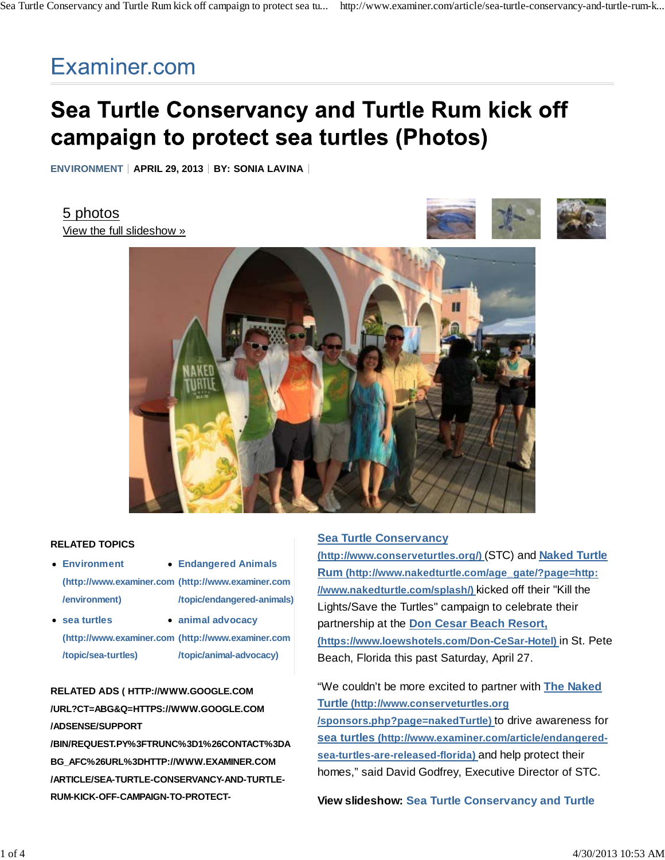## Examiner.com

# Sea Turtle Conservancy and Turtle Rum kick off campaign to protect sea turtles (Photos)

**ENVIRONMENT** | APRIL 29, 2013 | BY: SONIA LAVINA |

5 photos View the full slideshow »





#### **RELATED TOPICS**

- **Environment (http://www.examiner.com (http://www.examiner.com /environment)**
- **Endangered Animals /topic/endangered-animals)**
- **sea turtles (http://www.examiner.com (http://www.examiner.com /topic/sea-turtles) animal advocacy /topic/animal-advocacy)**

### **RELATED ADS ( HTTP://WWW.GOOGLE.COM /URL?CT=ABG&Q=HTTPS://WWW.GOOGLE.COM /ADSENSE/SUPPORT**

**/BIN/REQUEST.PY%3FTRUNC%3D1%26CONTACT%3DA BG\_AFC%26URL%3DHTTP://WWW.EXAMINER.COM /ARTICLE/SEA-TURTLE-CONSERVANCY-AND-TURTLE-RUM-KICK-OFF-CAMPAIGN-TO-PROTECT-**

#### **Sea Turtle Conservancy**

**(http://www.conserveturtles.org/)** (STC) and **Naked Turtle Rum (http://www.nakedturtle.com/age\_gate/?page=http: //www.nakedturtle.com/splash/)** kicked off their "Kill the Lights/Save the Turtles" campaign to celebrate their partnership at the **Don Cesar Beach Resort, (https://www.loewshotels.com/Don-CeSar-Hotel)** in St. Pete Beach, Florida this past Saturday, April 27.

"We couldn't be more excited to partner with **The Naked Turtle (http://www.conserveturtles.org /sponsors.php?page=nakedTurtle)** to drive awareness for **sea turtles (http://www.examiner.com/article/endangeredsea-turtles-are-released-florida)** and help protect their homes," said David Godfrey, Executive Director of STC.

**View slideshow: Sea Turtle Conservancy and Turtle**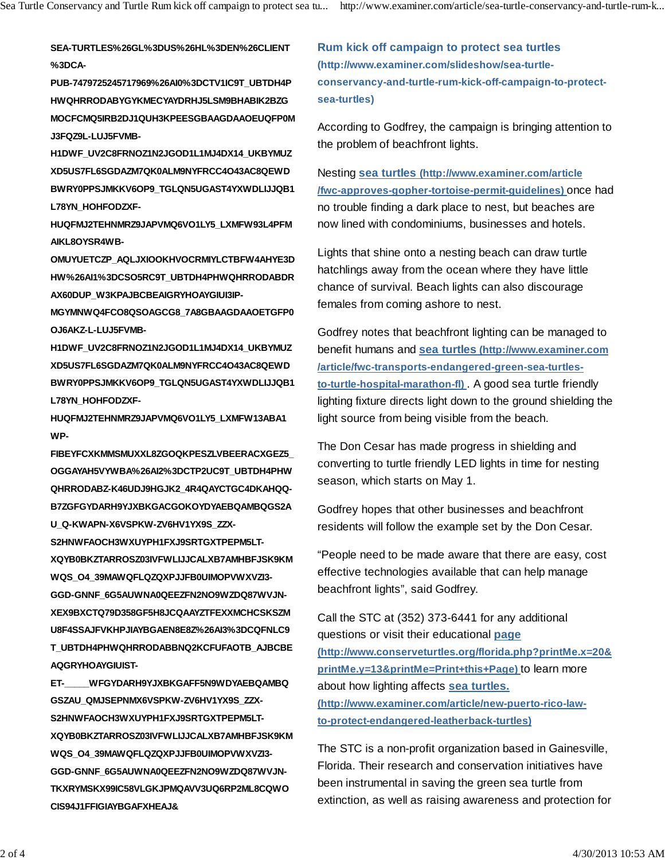**SEA-TURTLES%26GL%3DUS%26HL%3DEN%26CLIENT %3DCA-**

**PUB-7479725245717969%26AI0%3DCTV1IC9T\_UBTDH4P HWQHRRODABYGYKMECYAYDRHJ5LSM9BHABIK2BZG MOCFCMQ5IRB2DJ1QUH3KPEESGBAAGDAAOEUQFP0M J3FQZ9L-LUJ5FVMB-**

**H1DWF\_UV2C8FRNOZ1N2JGOD1L1MJ4DX14\_UKBYMUZ XD5US7FL6SGDAZM7QK0ALM9NYFRCC4O43AC8QEWD BWRY0PPSJMKKV6OP9\_TGLQN5UGAST4YXWDLIJJQB1 L78YN\_HOHFODZXF-**

**HUQFMJ2TEHNMRZ9JAPVMQ6VO1LY5\_LXMFW93L4PFM AIKL8OYSR4WB-**

**OMUYUETCZP\_AQLJXIOOKHVOCRMIYLCTBFW4AHYE3D HW%26AI1%3DCSO5RC9T\_UBTDH4PHWQHRRODABDR AX60DUP\_W3KPAJBCBEAIGRYHOAYGIUI3IP-**

**MGYMNWQ4FCO8QSOAGCG8\_7A8GBAAGDAAOETGFP0 OJ6AKZ-L-LUJ5FVMB-**

**H1DWF\_UV2C8FRNOZ1N2JGOD1L1MJ4DX14\_UKBYMUZ XD5US7FL6SGDAZM7QK0ALM9NYFRCC4O43AC8QEWD BWRY0PPSJMKKV6OP9\_TGLQN5UGAST4YXWDLIJJQB1 L78YN\_HOHFODZXF-**

**HUQFMJ2TEHNMRZ9JAPVMQ6VO1LY5\_LXMFW13ABA1 WP-**

**FIBEYFCXKMMSMUXXL8ZGOQKPESZLVBEERACXGEZ5\_ OGGAYAH5VYWBA%26AI2%3DCTP2UC9T\_UBTDH4PHW QHRRODABZ-K46UDJ9HGJK2\_4R4QAYCTGC4DKAHQQ-B7ZGFGYDARH9YJXBKGACGOKOYDYAEBQAMBQGS2A U\_Q-KWAPN-X6VSPKW-ZV6HV1YX9S\_ZZX-**

**S2HNWFAOCH3WXUYPH1FXJ9SRTGXTPEPM5LT-XQYB0BKZTARROSZ03IVFWLIJJCALXB7AMHBFJSK9KM WQS\_O4\_39MAWQFLQZQXPJJFB0UIMOPVWXVZI3- GGD-GNNF\_6G5AUWNA0QEEZFN2NO9WZDQ87WVJN-XEX9BXCTQ79D358GF5H8JCQAAYZTFEXXMCHCSKSZM U8F4SSAJFVKHPJIAYBGAEN8E8Z%26AI3%3DCQFNLC9 T\_UBTDH4PHWQHRRODABBNQ2KCFUFAOTB\_AJBCBE AQGRYHOAYGIUIST-**

**ET-\_\_\_\_\_WFGYDARH9YJXBKGAFF5N9WDYAEBQAMBQ GSZAU\_QMJSEPNMX6VSPKW-ZV6HV1YX9S\_ZZX-S2HNWFAOCH3WXUYPH1FXJ9SRTGXTPEPM5LT-XQYB0BKZTARROSZ03IVFWLIJJCALXB7AMHBFJSK9KM WQS\_O4\_39MAWQFLQZQXPJJFB0UIMOPVWXVZI3- GGD-GNNF\_6G5AUWNA0QEEZFN2NO9WZDQ87WVJN-TKXRYMSKX99IC58VLGKJPMQAVV3UQ6RP2ML8CQWO CIS94J1FFIGIAYBGAFXHEAJ&**

**Rum kick off campaign to protect sea turtles (http://www.examiner.com/slideshow/sea-turtleconservancy-and-turtle-rum-kick-off-campaign-to-protectsea-turtles)**

According to Godfrey, the campaign is bringing attention to the problem of beachfront lights.

Nesting **sea turtles (http://www.examiner.com/article /fwc-approves-gopher-tortoise-permit-guidelines)** once had no trouble finding a dark place to nest, but beaches are now lined with condominiums, businesses and hotels.

Lights that shine onto a nesting beach can draw turtle hatchlings away from the ocean where they have little chance of survival. Beach lights can also discourage females from coming ashore to nest.

Godfrey notes that beachfront lighting can be managed to benefit humans and **sea turtles (http://www.examiner.com /article/fwc-transports-endangered-green-sea-turtlesto-turtle-hospital-marathon-fl)** . A good sea turtle friendly lighting fixture directs light down to the ground shielding the light source from being visible from the beach.

The Don Cesar has made progress in shielding and converting to turtle friendly LED lights in time for nesting season, which starts on May 1.

Godfrey hopes that other businesses and beachfront residents will follow the example set by the Don Cesar.

"People need to be made aware that there are easy, cost effective technologies available that can help manage beachfront lights", said Godfrey.

Call the STC at (352) 373-6441 for any additional questions or visit their educational **page (http://www.conserveturtles.org/florida.php?printMe.x=20& printMe.y=13&printMe=Print+this+Page)** to learn more about how lighting affects **sea turtles. (http://www.examiner.com/article/new-puerto-rico-lawto-protect-endangered-leatherback-turtles)**

The STC is a non-profit organization based in Gainesville, Florida. Their research and conservation initiatives have been instrumental in saving the green sea turtle from extinction, as well as raising awareness and protection for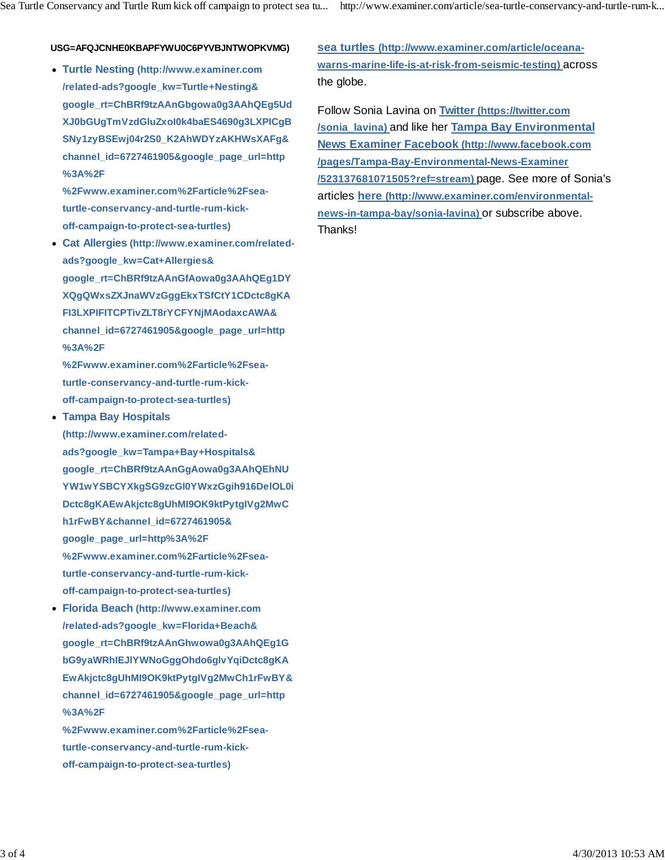#### **USG=AFQJCNHE0KBAPFYWU0C6PYVBJNTWOPKVMG)**

**Turtle Nesting (http://www.examiner.com /related-ads?google\_kw=Turtle+Nesting& google\_rt=ChBRf9tzAAnGbgowa0g3AAhQEg5Ud XJ0bGUgTmVzdGluZxoI0k4baES4690g3LXPICgB SNy1zyBSEwj04r2S0\_K2AhWDYzAKHWsXAFg& channel\_id=6727461905&google\_page\_url=http %3A%2F**

**%2Fwww.examiner.com%2Farticle%2Fseaturtle-conservancy-and-turtle-rum-kickoff-campaign-to-protect-sea-turtles)**

**Cat Allergies (http://www.examiner.com/relatedads?google\_kw=Cat+Allergies& google\_rt=ChBRf9tzAAnGfAowa0g3AAhQEg1DY XQgQWxsZXJnaWVzGggEkxTSfCtY1CDctc8gKA FI3LXPIFITCPTivZLT8rYCFYNjMAodaxcAWA& channel\_id=6727461905&google\_page\_url=http %3A%2F**

**%2Fwww.examiner.com%2Farticle%2Fseaturtle-conservancy-and-turtle-rum-kickoff-campaign-to-protect-sea-turtles)**

- **Tampa Bay Hospitals (http://www.examiner.com/relatedads?google\_kw=Tampa+Bay+Hospitals& google\_rt=ChBRf9tzAAnGgAowa0g3AAhQEhNU YW1wYSBCYXkgSG9zcGl0YWxzGgih916DelOL0i Dctc8gKAEwAkjctc8gUhMI9OK9ktPytgIVg2MwC h1rFwBY&channel\_id=6727461905& google\_page\_url=http%3A%2F %2Fwww.examiner.com%2Farticle%2Fseaturtle-conservancy-and-turtle-rum-kickoff-campaign-to-protect-sea-turtles)**
- **Florida Beach (http://www.examiner.com /related-ads?google\_kw=Florida+Beach& google\_rt=ChBRf9tzAAnGhwowa0g3AAhQEg1G bG9yaWRhIEJlYWNoGggOhdo6glvYqiDctc8gKA EwAkjctc8gUhMI9OK9ktPytgIVg2MwCh1rFwBY& channel\_id=6727461905&google\_page\_url=http %3A%2F**

**%2Fwww.examiner.com%2Farticle%2Fseaturtle-conservancy-and-turtle-rum-kickoff-campaign-to-protect-sea-turtles)**

**sea turtles (http://www.examiner.com/article/oceanawarns-marine-life-is-at-risk-from-seismic-testing)** across the globe.

Follow Sonia Lavina on **Twitter (https://twitter.com /sonia\_lavina)** and like her **Tampa Bay Environmental News Examiner Facebook (http://www.facebook.com /pages/Tampa-Bay-Environmental-News-Examiner /523137681071505?ref=stream)** page. See more of Sonia's articles **here (http://www.examiner.com/environmentalnews-in-tampa-bay/sonia-lavina)** or subscribe above. Thanks!